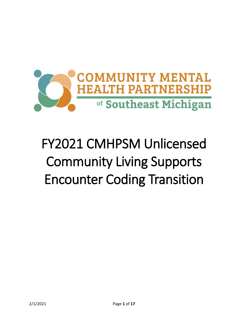

# FY2021 CMHPSM Unlicensed Community Living Supports Encounter Coding Transition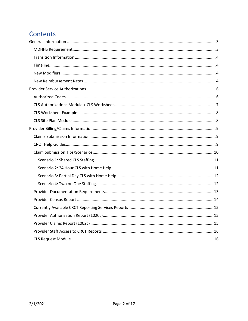## Contents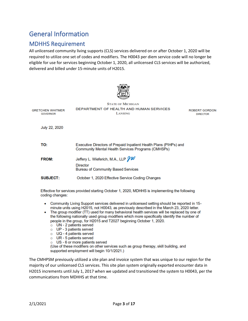### <span id="page-2-0"></span>General Information

### <span id="page-2-1"></span>MDHHS Requirement

All unlicensed community living supports (CLS) services delivered on or after October 1, 2020 will be required to utilize one set of codes and modifiers. The H0043 per diem service code will no longer be eligible for use for services beginning October 1, 2020, all unlicensed CLS services will be authorized, delivered and billed under 15-minute units of H2015.



| <b>GRETCHEN WHITMER</b><br><b>GOVERNOR</b> | <b>STATE OF MICHIGAN</b><br>DEPARTMENT OF HEALTH AND HUMAN SERVICES<br>LANSING                                          | <b>ROBERT GORDON</b><br><b>DIRECTOR</b> |
|--------------------------------------------|-------------------------------------------------------------------------------------------------------------------------|-----------------------------------------|
| July 22, 2020                              |                                                                                                                         |                                         |
| TO:                                        | Executive Directors of Prepaid Inpatient Health Plans (PIHPs) and<br>Community Mental Health Services Programs (CMHSPs) |                                         |
| <b>FROM:</b>                               | Jeffery L. Wieferich, M.A., LLP YW<br><b>Director</b><br><b>Bureau of Community Based Services</b>                      |                                         |
| <b>SUBJECT:</b>                            | October 1, 2020 Effective Service Coding Changes                                                                        |                                         |

Effective for services provided starting October 1, 2020, MDHHS is implementing the following coding changes:

- Community Living Support services delivered in unlicensed setting should be reported in 15minute units using H2015, not H0043, as previously described in the March 23, 2020 letter.
- The group modifier (TT) used for many behavioral health services will be replaced by one of  $\bullet$ the following nationally used group modifiers which more specifically identify the number of people in the group, for H2015 and T2027 beginning October 1, 2020.
	- $\circ$  UN 2 patients served
	- o UP 3 patients served
	- o UQ 4 patients served
	- $\circ$  UR 5 patients served
	- o US 6 or more patients served

(Use of these modifiers on other services such as group therapy, skill building, and supported employment will begin 10/1/2021.)

The CMHPSM previously utilized a site plan and invoice system that was unique to our region for the majority of our unlicensed CLS services. This site plan system originally exported encounter data in H2015 increments until July 1, 2017 when we updated and transitioned the system to H0043, per the communications from MDHHS at that time.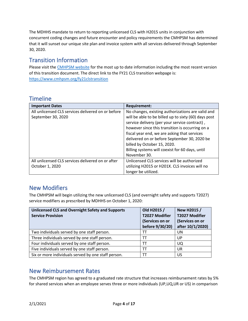The MDHHS mandate to return to reporting unlicensed CLS with H2015 units in conjunction with concurrent coding changes and future encounter and policy requirements the CMHPSM has determined that it will sunset our unique site plan and invoice system with all services delivered through September 30, 2020.

### <span id="page-3-0"></span>Transition Information

Please visit the [CMHPSM website](https://www.cmhpsm.org/fy21clstransition) for the most up to date information including the most recent version of this transition document. The direct link to the FY21 CLS transition webpage is: <https://www.cmhpsm.org/fy21clstransition>

### <span id="page-3-1"></span>**Timeline**

| <b>Important Dates</b>                             | <b>Requirement:</b>                                  |
|----------------------------------------------------|------------------------------------------------------|
| All unlicensed CLS services delivered on or before | No changes, existing authorizations are valid and    |
| September 30, 2020                                 | will be able to be billed up to sixty (60) days post |
|                                                    | service delivery (per your service contract),        |
|                                                    | however since this transition is occurring on a      |
|                                                    | fiscal year end, we are asking that services         |
|                                                    | delivered on or before September 30, 2020 be         |
|                                                    | billed by October 15, 2020.                          |
|                                                    | Billing systems will coexist for 60 days, until      |
|                                                    | November 30.                                         |
| All unlicensed CLS services delivered on or after  | Unlicensed CLS services will be authorized           |
| October 1, 2020                                    | utilizing H2015 or H201X. CLS invoices will no       |
|                                                    | longer be utilized.                                  |

### <span id="page-3-2"></span>New Modifiers

The CMHPSM will begin utilizing the new unlicensed CLS (and overnight safety and supports T2027) service modifiers as prescribed by MDHHS on October 1, 2020:

| <b>Unlicensed CLS and Overnight Safety and Supports</b><br><b>Service Provision</b> | Old H2015 /<br>T2027 Modifier<br>(Services on or<br>before 9/30/20) | <b>New H2015 /</b><br><b>T2027 Modifier</b><br>(Services on or<br>after 10/1/2020) |
|-------------------------------------------------------------------------------------|---------------------------------------------------------------------|------------------------------------------------------------------------------------|
| Two individuals served by one staff person.                                         |                                                                     | UN                                                                                 |
| Three individuals served by one staff person.                                       | TT                                                                  | UP                                                                                 |
| Four individuals served by one staff person.                                        | тт                                                                  | UQ.                                                                                |
| Five individuals served by one staff person.                                        | ΤТ                                                                  | UR                                                                                 |
| Six or more individuals served by one staff person.                                 | П                                                                   | US                                                                                 |

### <span id="page-3-3"></span>New Reimbursement Rates

The CMHPSM region has agreed to a graduated rate structure that increases reimbursement rates by 5% for shared services when an employee serves three or more individuals (UP,UQ,UR or US) in comparison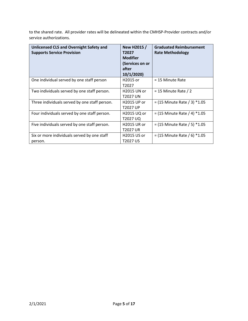to the shared rate. All provider rates will be delineated within the CMHSP-Provider contracts and/or service authorizations.

| <b>Unlicensed CLS and Overnight Safety and</b><br><b>Supports Service Provision</b> | New H2015 /<br>T2027<br><b>Modifier</b><br>(Services on or<br>after<br>10/1/2020 | <b>Graduated Reimbursement</b><br><b>Rate Methodology</b> |
|-------------------------------------------------------------------------------------|----------------------------------------------------------------------------------|-----------------------------------------------------------|
| One individual served by one staff person                                           | H2015 or<br>T2027                                                                | = 15 Minute Rate                                          |
| Two individuals served by one staff person.                                         | <b>H2015 UN or</b><br>T2027 UN                                                   | $= 15$ Minute Rate / 2                                    |
| Three individuals served by one staff person.                                       | H2015 UP or<br><b>T2027 UP</b>                                                   | $=$ (15 Minute Rate / 3) $*1.05$                          |
| Four individuals served by one staff person.                                        | H2015 UQ or<br>T2027 UQ                                                          | $=$ (15 Minute Rate / 4) $*1.05$                          |
| Five individuals served by one staff person.                                        | <b>H2015 UR or</b><br><b>T2027 UR</b>                                            | $=$ (15 Minute Rate / 5) $*1.05$                          |
| Six or more individuals served by one staff<br>person.                              | H2015 US or<br>T2027 US                                                          | $=$ (15 Minute Rate / 6) $*1.05$                          |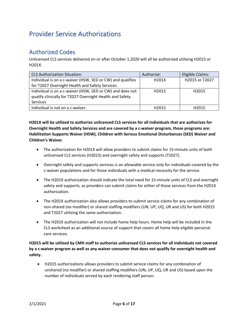### <span id="page-5-0"></span>Provider Service Authorizations

### <span id="page-5-1"></span>Authorized Codes

Unlicensed CLS services delivered on or after October 1,2020 will all be authorized utilizing H2015 or H201X.

| <b>CLS Authorization Situation:</b>                        | Authorize:         | Eligible Claims:  |
|------------------------------------------------------------|--------------------|-------------------|
| Individual is on a c-waiver (HSW, SED or CW) and qualifies | H <sub>201</sub> X | H2015 or T2027    |
| for T2027 Overnight Health and Safety Services             |                    |                   |
| Individual is on a c-waiver (HSW, SED or CW) and does not  | H <sub>2015</sub>  | H <sub>2015</sub> |
| qualify clinically for T2027 Overnight Health and Safety   |                    |                   |
| <b>Services</b>                                            |                    |                   |
| Individual is not on a c-waiver.                           | H <sub>2015</sub>  | H <sub>2015</sub> |

**H201X will be utilized to authorize unlicensed CLS services for all individuals that are authorizes for Overnight Health and Safety Services and are covered by a c-waiver program, those programs are: Habilitation Supports Waiver (HSW), Children with Serious Emotional Disturbances (SED) Waiver and Children's Waiver.**

- The authorization for H201X will allow providers to submit claims for 15-minute units of both unlicensed CLS services (H2015) and overnight safety and supports (T2027).
- Overnight safety and supports services is an allowable service only for individuals covered by the c-waiver populations and for those individuals with a medical necessity for the service.
- The H201X authorization should indicate the total need for 15-minute units of CLS and overnight safety and supports, as providers can submit claims for either of those services from the H201X authorization.
- The H201X authorization also allows providers to submit service claims for any combination of non-shared (no modifier) or shared staffing modifiers (UN, UP, UQ, UR and US) for both H2015 and T2027 utilizing the same authorization.
- The H201X authorization will not include home help hours. Home help will be included in the CLS worksheet as an additional source of support that covers all home help eligible personal care services.

**H2015 will be utilized by CMH staff to authorize unlicensed CLS services for all individuals not covered by a c-waiver program as well as any waiver consumer that does not qualify for overnight health and safety.**

• H2015 authorizations allows providers to submit service claims for any combination of unshared (no modifier) or shared staffing modifiers (UN, UP, UQ, UR and US) based upon the number of individuals served by each rendering staff person.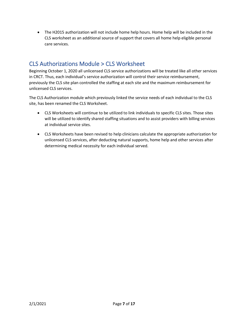• The H2015 authorization will not include home help hours. Home help will be included in the CLS worksheet as an additional source of support that covers all home help eligible personal care services.

### <span id="page-6-0"></span>CLS Authorizations Module > CLS Worksheet

Beginning October 1, 2020 all unlicensed CLS service authorizations will be treated like all other services in CRCT. Thus, each individual's service authorization will control their service reimbursement, previously the CLS site plan controlled the staffing at each site and the maximum reimbursement for unlicensed CLS services.

The CLS Authorization module which previously linked the service needs of each individual to the CLS site, has been renamed the CLS Worksheet.

- CLS Worksheets will continue to be utilized to link individuals to specific CLS sites. Those sites will be utilized to identify shared staffing situations and to assist providers with billing services at individual service sites.
- CLS Worksheets have been revised to help clinicians calculate the appropriate authorization for unlicensed CLS services, after deducting natural supports, home help and other services after determining medical necessity for each individual served.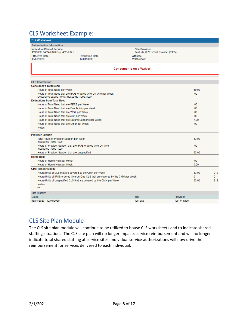### <span id="page-7-0"></span>CLS Worksheet Example:

| <b>CLS Worksheet</b>                                                                                        |                                      |                                          |                  |
|-------------------------------------------------------------------------------------------------------------|--------------------------------------|------------------------------------------|------------------|
| <b>Authorization Information</b>                                                                            |                                      |                                          |                  |
| Individual Plan of Service                                                                                  |                                      | <b>Site/Provider</b>                     |                  |
| IPOS Eff: 04/24/2020 Exp: 4/23/2021                                                                         |                                      | Test site (9781)/Test Provider (6365)    |                  |
| <b>Effective Date</b><br>08/01/2020                                                                         | <b>Expiration Date</b><br>12/01/2020 | <b>Affiliate</b><br>Washtenaw            |                  |
|                                                                                                             |                                      |                                          |                  |
|                                                                                                             |                                      | <b>Consumer is on a Waiver</b>           |                  |
|                                                                                                             |                                      |                                          |                  |
| <b>CLS</b> Information                                                                                      |                                      |                                          |                  |
| <b>Consumer's Total Need</b>                                                                                |                                      |                                          |                  |
| Hours of Total Need per Week                                                                                |                                      |                                          | 60.00            |
| Hours of Total Need that are IPOS ordered One-On-One per Week<br>EXCLUDING DEDUCTIONS / INCLUDING HOME HELP |                                      |                                          | .00              |
| <b>Deductions from Total Need</b>                                                                           |                                      |                                          |                  |
| Hours of Total Need that are PERS per Week                                                                  |                                      |                                          | .00              |
| Hours of Total Need that are Day Activity per Week                                                          |                                      |                                          | 00               |
| Hours of Total Need that are Work per Week                                                                  |                                      |                                          | .00 <sub>1</sub> |
| Hours of Total Need that are ABA per Week                                                                   |                                      |                                          | .00.             |
| Hours of Total Need that are Natural Supports per Week                                                      |                                      |                                          | 7.00             |
| Hours of Total Need that are Other per Week                                                                 |                                      |                                          | .00 <sub>1</sub> |
| <b>Notes</b>                                                                                                |                                      |                                          |                  |
|                                                                                                             |                                      |                                          |                  |
| <b>Provider Support</b>                                                                                     |                                      |                                          | 53.00            |
| Total Hours of Provider Support per Week<br><b>INCLUDING HOME HELP</b>                                      |                                      |                                          |                  |
| Hours of Provider Support that are IPOS ordered One-On-One<br><b>INCLUDING HOME HELP</b>                    |                                      |                                          | .00              |
| Hours of Provider Support that are Unspecified                                                              |                                      |                                          | 53.00            |
| <b>Home Help</b>                                                                                            |                                      |                                          |                  |
| Hours of Home Help per Month                                                                                |                                      |                                          | .00.             |
| Hours of Home Help per Week                                                                                 |                                      |                                          | 0.00             |
| <b>CMH Responsibility</b>                                                                                   |                                      |                                          |                  |
| Hours/Units of CLS that are covered by the CMH per Week                                                     |                                      |                                          | 212<br>53.00     |
| Hours/Units of IPOS ordered One-on-One CLS that are covered by the CMH per Week                             |                                      |                                          | $\Omega$<br>0    |
| Hours/Units of Unspecified CLS that are covered by the CMH per Week                                         |                                      |                                          | 53.00<br>212     |
| <b>Notes</b>                                                                                                |                                      |                                          |                  |
| <u></u>                                                                                                     |                                      |                                          |                  |
| <b>Site History</b>                                                                                         |                                      |                                          |                  |
| <b>Dates</b>                                                                                                |                                      | <b>Site</b><br>Provider                  |                  |
| 08/01/2020 - 12/01/2020                                                                                     |                                      | <b>Test site</b><br><b>Test Provider</b> |                  |

### <span id="page-7-1"></span>CLS Site Plan Module

The CLS site plan module will continue to be utilized to house CLS worksheets and to indicate shared staffing situations. The CLS site plan will no longer impacts service reimbursement and will no longer indicate total shared staffing at service sites. Individual service authorizations will now drive the reimbursement for services delivered to each individual.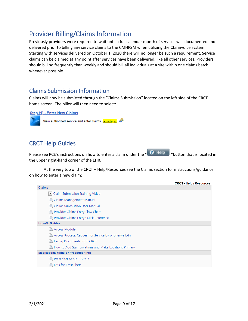### <span id="page-8-0"></span>Provider Billing/Claims Information

Previously providers were required to wait until a full calendar month of services was documented and delivered prior to billing any service claims to the CMHPSM when utilizing the CLS invoice system. Starting with services delivered on October 1, 2020 there will no longer be such a requirement. Service claims can be claimed at any point after services have been delivered, like all other services. Providers should bill no frequently than weekly and should bill all individuals at a site within one claims batch whenever possible.

### <span id="page-8-1"></span>Claims Submission Information

Claims will now be submitted through the "Claims Submission" located on the left side of the CRCT home screen. The biller will then need to select:

Step (1) - Enter New Claims View authorized service and enter claims.  $\frac{1}{2}$  myPage

### <span id="page-8-2"></span>CRCT Help Guides

Please see PCE's instructions on how to enter a claim under the  $\overline{\bullet}$   $\overline{\bullet}$  Help  $\overline{\bullet}$  "button that is located in the upper right-hand corner of the EHR.

At the very top of the CRCT – Help/Resources see the Claims section for instructions/guidance on how to enter a new claim:

|                                                       | <b>CRCT - Help / Resources</b> |
|-------------------------------------------------------|--------------------------------|
| <b>Claims</b>                                         |                                |
| Claim Submission Training Video                       |                                |
| Claims Management Manual                              |                                |
| Claims Submission User Manual                         |                                |
| <b>Provider Claims Entry Flow Chart</b>               |                                |
| <b>Provider Claims Entry Quick Reference</b>          |                                |
| <b>How-To Guides</b>                                  |                                |
| Access Module                                         |                                |
| Access Process: Request for Service by phone/walk-in  |                                |
| <b>Example 2 Faxing Documents from CRCT</b>           |                                |
| How to Add Staff Locations and Make Locations Primary |                                |
| <b>Medications Module / Prescriber Info</b>           |                                |
| Prescriber Setup - A to Z                             |                                |
| FAQ for Prescribers                                   |                                |
|                                                       |                                |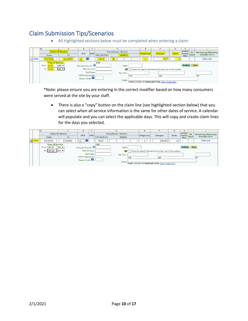### <span id="page-9-0"></span>Claim Submission Tips/Scenarios

• All highlighted sections below must be completed when entering a claim:

|                                      | 24                                         | А         | в                        | c. |                  | D                          |       | Е                |                                                       | G            | н                   |    |                            |
|--------------------------------------|--------------------------------------------|-----------|--------------------------|----|------------------|----------------------------|-------|------------------|-------------------------------------------------------|--------------|---------------------|----|----------------------------|
|                                      | <b>Dates Of Service</b>                    |           | <b>POS</b><br><b>EMG</b> |    |                  | <b>Procedures/ Service</b> |       | <b>Diagnosis</b> | <b>Charges</b>                                        | <b>Units</b> | <b>EPSDT</b>        | ID | <b>Rendering/Referring</b> |
|                                      | <b>From</b>                                | To        |                          |    | <b>CPT/HCPCS</b> | Mod(s)                     |       |                  |                                                       |              | Family Qual<br>Plan |    | Provider ID#               |
| $\Box$ Corx                          | 8/1/2020                                   | 8/1/2020  | 13                       |    | H2015            | <b>UN</b>                  |       |                  | 4.37                                                  |              |                     |    | Clear Line                 |
| <b>Time of Service</b><br><b>COB</b> |                                            |           |                          |    |                  |                            |       |                  |                                                       |              |                     |    |                            |
|                                      | $AM \vee$<br>From: 8:00<br>Allowed Amount: |           |                          |    | Staff:           |                            |       |                  |                                                       | lookup clear |                     |    |                            |
|                                      | To: $8:15$                                 | $AM \vee$ | Paid Amount:             |    |                  | TIP                        |       |                  | Check to specify Rendering Provider not in the system |              |                     |    |                            |
| Paid Date:                           |                                            |           |                          |    |                  | Ref. Prov:                 |       |                  |                                                       |              |                     |    |                            |
| <b>HIPAA Adjustment</b>              |                                            |           |                          |    |                  |                            | First |                  | Last                                                  |              |                     |    | <b>NPI</b>                 |
| Reason Code                          |                                            |           |                          |    | Notes:           |                            |       |                  |                                                       |              |                     |    |                            |
|                                      |                                            |           |                          |    |                  |                            |       |                  | Prefill COVID-19 Telehealth Note Video Audio-Only     |              |                     |    |                            |

\*Note: please ensure you are entering in the correct modifier based on how many consumers were served at the site by your staff.

• There is also a "copy" button on the claim line (see highlighted section below) that you can select when all service information is the same for other dates of service. A calendar will populate and you can select the applicable days. This will copy and create claim lines for the days you selected.

|   |      | 24                                              | А         | в                       | $\sim$<br>c |                  | D          |  | F          |                                                           | G                          | н                          |                  |                |              |              |    |                            |
|---|------|-------------------------------------------------|-----------|-------------------------|-------------|------------------|------------|--|------------|-----------------------------------------------------------|----------------------------|----------------------------|------------------|----------------|--------------|--------------|----|----------------------------|
|   |      | <b>Dates Of Service</b>                         |           | <b>POS</b>              |             |                  |            |  | <b>EMG</b> |                                                           | <b>Procedures/ Service</b> |                            | <b>Diagnosis</b> | <b>Charges</b> | <b>Units</b> | <b>EPSDT</b> | ID | <b>Rendering/Referring</b> |
|   |      | <b>From</b>                                     | To        |                         |             | <b>CPT/HCPCS</b> | Mod(s)     |  |            |                                                           |                            | <b>Family</b> Qual<br>Plan |                  | Provider ID #  |              |              |    |                            |
| e | Copy | 8/3/2020                                        | 8/3/2020  | $\mathbf{Z}$<br>12      |             | T2027            |            |  |            | 139.84                                                    | 32                         |                            |                  | Clear Line     |              |              |    |                            |
|   |      | <b>Time of Service</b>                          |           |                         |             | <b>COB</b>       |            |  |            |                                                           |                            |                            |                  |                |              |              |    |                            |
|   |      | Allowed Amount:<br>PMV<br>From: 09:00<br>Staff: |           |                         |             |                  |            |  |            | lookup clear                                              |                            |                            |                  |                |              |              |    |                            |
|   |      | To: 05:00                                       | $AM \vee$ | Paid Amount:            |             |                  |            |  |            | TIP Check to specify Rendering Provider not in the system |                            |                            |                  |                |              |              |    |                            |
|   |      |                                                 |           |                         | Paid Date:  |                  | Ref. Prov: |  |            |                                                           |                            |                            |                  |                |              |              |    |                            |
|   |      |                                                 |           | <b>HIPAA Adjustment</b> |             |                  | First      |  | Last       |                                                           |                            |                            | <b>NPI</b>       |                |              |              |    |                            |
|   |      | Reason Code                                     |           |                         |             |                  |            |  |            |                                                           |                            |                            |                  |                |              |              |    |                            |
|   |      |                                                 |           |                         |             |                  | Notes:     |  |            | Prefill COVID-19 Telehealth Note Video Audio-Only         |                            |                            |                  |                |              |              |    |                            |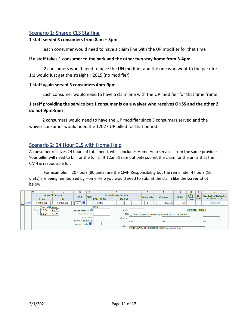#### <span id="page-10-0"></span>Scenario 1: Shared CLS Staffing

#### **1 staff served 3 consumers from 8am – 3pm**

each consumer would need to have a claim line with the UP modifier for that time

#### **If a staff takes 1 consumer to the park and the other two stay home from 3-4pm**

2 consumers would need to have the UN modifier and the one who went to the park for 1:1 would just get the straight H2015 (no modifier)

#### **1 staff again served 3 consumers 4pm-9pm**

Each consumer would need to have a claim line with the UP modifier for that time frame

#### **1 staff providing the service but 1 consumer is on a waiver who receives OHSS and the other 2 do not 9pm-5am**

 2 consumers would need to have the UP modifier since 3 consumers served and the waiver consumer would need the T2027 UP billed for that period.

#### <span id="page-10-1"></span>Scenario 2: 24 Hour CLS with Home Help

A consumer receives 24 hours of total need, which includes Home Help services from the same provider. Your biller will need to bill for the full shift 12am-12am but only submit the claim for the units that the CMH is responsible for.

For example: if 20 hours (80 units) are the CMH Responsibility but the remainder 4 hours (16 units) are being reimbursed by Home Help you would need to submit the claim like the screen shot below:

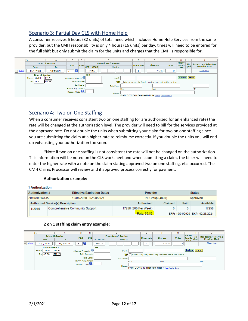### <span id="page-11-0"></span>Scenario 3: Partial Day CLS with Home Help

A consumer receives 6 hours (32 units) of total need which includes Home Help Services from the same provider, but the CMH responsibility is only 4 hours (16 units) per day, times will need to be entered for the full shift but only submit the claim for the units and charges that the CMH is responsible for.

|             | 24                      | A           | в                  | c          |                  | D                                                           |  | Е                |                                                   | G            | н                                 |            |                            |
|-------------|-------------------------|-------------|--------------------|------------|------------------|-------------------------------------------------------------|--|------------------|---------------------------------------------------|--------------|-----------------------------------|------------|----------------------------|
|             | <b>Dates Of Service</b> |             | POS                | <b>EMG</b> |                  | <b>Procedures/Service</b>                                   |  | <b>Diagnosis</b> | <b>Charges</b>                                    | <b>Units</b> | <b>EPSDT</b>                      | ID         | <b>Rendering/Referring</b> |
|             | <b>From</b>             | To          |                    |            | <b>CPT/HCPCS</b> | Mod(s)                                                      |  |                  |                                                   |              | <b>Family</b> Qual<br><b>Plan</b> |            | Provider ID#               |
| $\Box$ Corx | 10/1/2020               | 10/1/2020   | $\mathbf{Z}$<br>12 |            | H2015            |                                                             |  |                  | 78.88                                             | 16           |                                   |            | Clear Line                 |
|             | <b>Time of Service</b>  |             |                    |            | <b>COB</b>       |                                                             |  |                  |                                                   |              |                                   |            |                            |
|             | 12:00<br>From:          | $PM \vee$   | Allowed Amount:    |            |                  | Staff:                                                      |  |                  |                                                   |              | lookup                            | clear      |                            |
|             | To: 6:00                | $[PM \vee]$ | Paid Amount:       |            |                  | TIP   Check to specify Rendering Provider not in the system |  |                  |                                                   |              |                                   |            |                            |
|             |                         |             |                    | Paid Date: |                  | Ref. Prov:                                                  |  |                  |                                                   |              |                                   |            |                            |
|             | <b>HIPAA Adjustment</b> |             |                    |            |                  | First                                                       |  | Last             |                                                   |              |                                   | <b>NPI</b> |                            |
|             |                         |             | Reason Code        |            |                  | Notes:                                                      |  |                  |                                                   |              |                                   |            |                            |
|             |                         |             |                    |            |                  |                                                             |  |                  | Prefill COVID-19 Telehealth Note Video Audio-Only |              |                                   |            |                            |

### <span id="page-11-1"></span>Scenario 4: Two on One Staffing

When a consumer receives consistent two on one staffing (or are authorized for an enhanced rate) the rate will be changed at the authorization level. The provider will need to bill for the services provided at the approved rate. Do not double the units when submitting your claim for two on one staffing since you are submitting the claim at a higher rate to reimburse correctly. If you double the units you will end up exhausting your authorization too soon.

\*Note if two on one staffing is not consistent the rate will not be changed on the authorization. This information will be noted on the CLS worksheet and when submitting a claim, the biller will need to enter the higher rate with a note on the claim stating approved two on one staffing, etc. occurred. The CMH Claims Processor will review and if approved process correctly for payment.

#### **Authorization example:**

| i Authorization.                                            |                                          |                                   |  |              |                  |       |                                 |
|-------------------------------------------------------------|------------------------------------------|-----------------------------------|--|--------------|------------------|-------|---------------------------------|
| Authorization #                                             |                                          | <b>Effective/Expiration Dates</b> |  | Provider     |                  |       | <b>Status</b>                   |
| 2010A0314135                                                |                                          | 10/01/2020 - 02/28/2021           |  |              | INI Group (4805) |       | Approved                        |
|                                                             | <b>Authorized Service(s) Description</b> |                                   |  | Authorized   | Claimed          | Paid  | Available                       |
| <b>Comprehensive Community Support</b><br>H <sub>2015</sub> |                                          | 0<br>17258 (800 Per Week)         |  |              |                  | 17258 |                                 |
|                                                             |                                          |                                   |  | Rate: \$9.86 |                  |       | EFF: 10/01/2020 EXP: 02/28/2021 |

#### **2 on 1 staffing claim entry example:**

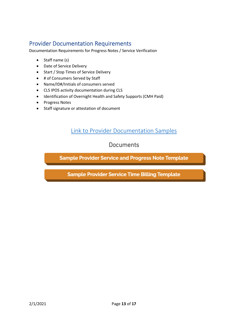### <span id="page-12-0"></span>Provider Documentation Requirements

Documentation Requirements for Progress Notes / Service Verification

- Staff name (s)
- Date of Service Delivery
- Start / Stop Times of Service Delivery
- # of Consumers Served by Staff
- Name/ID#/Initials of consumers served
- CLS IPOS activity documentation during CLS
- Identification of Overnight Health and Safety Supports (CMH Paid)
- Progress Notes
- Staff signature or attestation of document

### Link to Provider [Documentation Samples](https://www.cmhpsm.org/fy21clstransition)

### Documents

**Sample Provider Service and Progress Note Template** 

**Sample Provider Service Time Billing Template**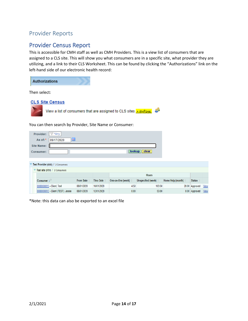### Provider Reports

### <span id="page-13-0"></span>Provider Census Report

This is accessible for CMH staff as well as CMH Providers. This is a view list of consumers that are assigned to a CLS site. This will show you what consumers are in a specific site, what provider they are utilizing, and a link to their CLS Worksheet. This can be found by clicking the "Authorizations" link on the left-hand side of our electronic health record:

**Authorizations** Then select: **CLS Site Census** View a list of consumers that are assigned to CLS sites  $\frac{1 + myPage}{\sqrt{2}}$ You can then search by Provider, Site Name or Consumer:

| . ∀ *Any '<br>Provider:                         |                  |                  |                   |                    |                   |                |             |
|-------------------------------------------------|------------------|------------------|-------------------|--------------------|-------------------|----------------|-------------|
| 圃<br>As of:*<br>09/17/2020                      |                  |                  |                   |                    |                   |                |             |
| Site Name:                                      |                  |                  |                   |                    |                   |                |             |
| Consumer:                                       |                  |                  | lookup            | clear              |                   |                |             |
|                                                 |                  |                  |                   |                    |                   |                |             |
| Test Provider (6365) / 2 Consumers              |                  |                  |                   |                    |                   |                |             |
|                                                 |                  |                  |                   |                    |                   |                |             |
| Test site (9781) / 2 Consumers                  |                  |                  |                   |                    |                   |                |             |
|                                                 |                  |                  |                   | <b>Hours</b>       |                   |                |             |
| Consumer $\stackrel{\triangle}{=}$ <sup>3</sup> | <b>From Date</b> | <b>Thru Date</b> | One-on-One (week) | Unspecified (week) | Home Help (month) | <b>Status</b>  |             |
| 0000000013 - Client, Test                       | 08/01/2020       | 10/01/2020       | 4.50              | 163.50             |                   | 20.00 Approved | View        |
| 0000000012 - Client (TEST), Jessie              | 08/01/2020       | 12/01/2020       | 0.00              | 53.00              |                   | 0.00 Approved  | <b>View</b> |

\*Note: this data can also be exported to an excel file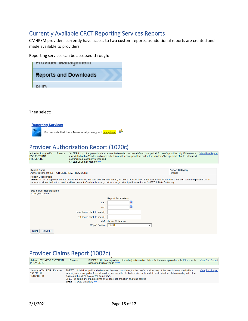### <span id="page-14-0"></span>Currently Available CRCT Reporting Services Reports

CMHPSM providers currently have access to two custom reports, as additional reports are created and made available to providers.

Reporting services can be accessed through:

| <b>Provider Management</b>   |  |
|------------------------------|--|
| <b>Reports and Downloads</b> |  |
| <b>CIIN</b>                  |  |

Then select:



### <span id="page-14-1"></span>Provider Authorization Report (1020c)

Authorizations (1020c) Finance SHEET 1: List of approved authorizations that overlap the user-defined time period, for user's provider only. If the user is View Run Report FOR EXTERNAL<br>PROVIDERS associated with a Vendor, auths are pulled from all service providers tied to that vendor. Gives percent of auth units used, cost incurred, cost not yet incurred<br>SHEET 2: Data Dictionary

| <b>Report Name</b><br>Authorizations (1020c) FOR EXTERNAL PROVIDERS                                                                                                                                                                                                                                                                                        | <b>Report Category</b><br>Finance |
|------------------------------------------------------------------------------------------------------------------------------------------------------------------------------------------------------------------------------------------------------------------------------------------------------------------------------------------------------------|-----------------------------------|
| <b>Report Description</b><br>SHEET 1: List of approved authorizations that overlap the user-defined time period, for user's provider only. If the user is associated with a Vendor, auths are pulled from all<br>service providers tied to that vendor. Gives percent of auth units used, cost incurred, cost not yet incurred<br>SHEET 2: Data Dictionary |                                   |
|                                                                                                                                                                                                                                                                                                                                                            |                                   |
| <b>SQL Server Report Name</b><br>1020c PROVauths                                                                                                                                                                                                                                                                                                           |                                   |

|                                |                      | <b>Report Parameters</b> |   |             |
|--------------------------------|----------------------|--------------------------|---|-------------|
|                                | start:               |                          | 囲 |             |
|                                | end:                 |                          | 圃 |             |
| case (leave blank to see all): |                      |                          |   |             |
| cpt (leave blank to see all):  |                      |                          |   |             |
|                                |                      | staff: James Colaianne   |   |             |
|                                | Report Format: Excel |                          |   | $\check{ }$ |
| <b>RUN</b><br><b>CANCEL</b>    |                      |                          |   |             |

### <span id="page-14-2"></span>Provider Claims Report (1002c)

| SHEET 1: All claims (paid and otherwise) between two dates, for the user's provider only. If the user is associated with a<br>Vendor, claims are pulled from all service providers tied to that vendor. Includes info as to whether claims overlap with other<br>claims on the same date at the same time. | claims (1002c) FOR EXTERNAL<br><b>PROVIDERS</b>                   | Finance | SHEET 1: All claims (paid and otherwise) between two dates, for the user's provider only. If the user is<br>associated with a Vendo | <b>View Run Report</b> |
|------------------------------------------------------------------------------------------------------------------------------------------------------------------------------------------------------------------------------------------------------------------------------------------------------------|-------------------------------------------------------------------|---------|-------------------------------------------------------------------------------------------------------------------------------------|------------------------|
| SHEET 2: summary of paid claims by vendor, cpt, modifier, and fund source<br>SHEET 3: Data dictionary ←                                                                                                                                                                                                    | claims (1002c) FOR Finance<br><b>EXTERNAL</b><br><b>PROVIDERS</b> |         |                                                                                                                                     | <b>View Run Report</b> |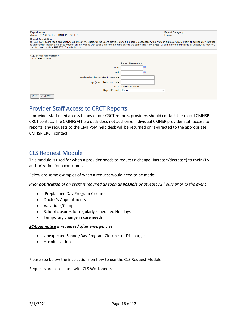| <b>Report Name</b><br>claims (1002c) FOR EXTERNAL PROVIDERS                                                                                                                                                                                                                                                                                                                                                                                      |                          |              | <b>Report Category</b><br>Finance |
|--------------------------------------------------------------------------------------------------------------------------------------------------------------------------------------------------------------------------------------------------------------------------------------------------------------------------------------------------------------------------------------------------------------------------------------------------|--------------------------|--------------|-----------------------------------|
| <b>Report Description</b><br>SHEET 1: All claims (paid and otherwise) between two dates, for the user's provider only. If the user is associated with a Vendor, claims are pulled from all service providers tied<br>to that vendor. Includes info as to whether claims overlap with other claims on the same date at the same time.<br>SHEET 2: summary of paid claims by vendor, cpt, modifier,<br>and fund source<br>SHEET 3: Data dictionary |                          |              |                                   |
|                                                                                                                                                                                                                                                                                                                                                                                                                                                  |                          |              |                                   |
| <b>SQL Server Report Name</b><br>1002c PROVclaims                                                                                                                                                                                                                                                                                                                                                                                                |                          |              |                                   |
|                                                                                                                                                                                                                                                                                                                                                                                                                                                  | <b>Report Parameters</b> |              |                                   |
| start:                                                                                                                                                                                                                                                                                                                                                                                                                                           |                          | щ            |                                   |
| end:                                                                                                                                                                                                                                                                                                                                                                                                                                             |                          | 賱            |                                   |
| case Number (leave default to see all):                                                                                                                                                                                                                                                                                                                                                                                                          |                          |              |                                   |
| cpt (leave blank to see all):                                                                                                                                                                                                                                                                                                                                                                                                                    |                          |              |                                   |
|                                                                                                                                                                                                                                                                                                                                                                                                                                                  | staff: James Colaianne   |              |                                   |
| Report Format: Excel                                                                                                                                                                                                                                                                                                                                                                                                                             |                          | $\checkmark$ |                                   |
| <b>RUN</b><br><b>CANCEL</b>                                                                                                                                                                                                                                                                                                                                                                                                                      |                          |              |                                   |

### <span id="page-15-0"></span>Provider Staff Access to CRCT Reports

If provider staff need access to any of our CRCT reports, providers should contact their local CMHSP CRCT contact. The CMHPSM help desk does not authorize individual CMHSP provider staff access to reports, any requests to the CMHPSM help desk will be returned or re-directed to the appropriate CMHSP CRCT contact.

### <span id="page-15-1"></span>CLS Request Module

This module is used for when a provider needs to request a change (increase/decrease) to their CLS authorization for a consumer.

Below are some examples of when a request would need to be made:

*Prior notification of an event is required as soon as possible or at least 72 hours prior to the event*

- Preplanned Day Program Closures
- Doctor's Appointments
- Vacations/Camps
- School closures for regularly scheduled Holidays
- Temporary change in care needs

#### *24-hour notice is requested after emergencies*

- Unexpected School/Day Program Closures or Discharges
- Hospitalizations

Please see below the instructions on how to use the CLS Request Module:

Requests are associated with CLS Worksheets: